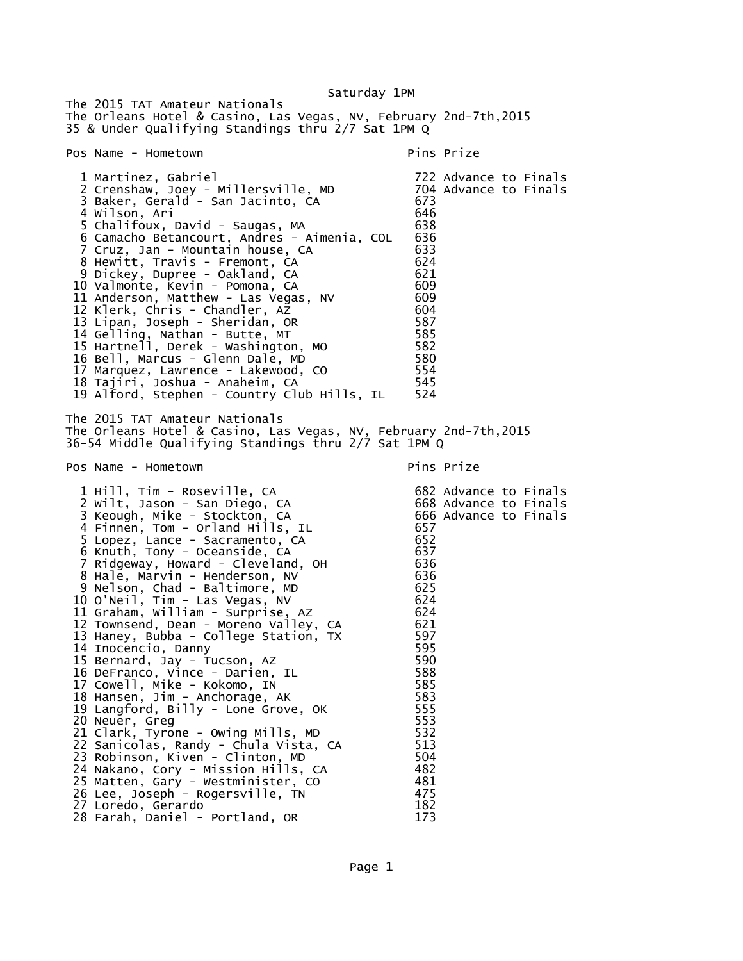Saturday 1PM

The 2015 TAT Amateur Nationals The Orleans Hotel & Casino, Las Vegas, NV, February 2nd-7th,2015 35 & Under Qualifying Standings thru 2/7 Sat 1PM Q Pos Name - Hometown entry the pins Prize pins Prize 1 Martinez, Gabriel 722 Advance to Finals 2 Crenshaw, Joey - Millersville, MD 704 Advance to Finals 3 Baker, Gerald - San Jacinto, CA 673 4 Wilson, Ari 646 5 Chalifoux, David - Saugas, MA 638 6 Camacho Betancourt, Andres - Aimenia, COL 7 Cruz, Jan - Mountain house, CA 633 8 Hewitt, Travis - Fremont, CA 624 9 Dickey, Dupree - Oakland, CA 621 10 Valmonte, Kevin - Pomona, CA 609 11 Anderson, Matthew - Las Vegas, NV 12 Klerk, Chris - Chandler, AZ 604 13 Lipan, Joseph - Sheridan, OR 587 14 Gelling, Nathan - Butte, MT 585 15 Hartnell, Derek - Washington, MO 582 16 Bell, Marcus - Glenn Dale, MD 580 17 Marquez, Lawrence - Lakewood, CO 554 18 Tajiri, Joshua - Anaheim, CA 545 19 Alford, Stephen - Country Club Hills, IL 524 The 2015 TAT Amateur Nationals The Orleans Hotel & Casino, Las Vegas, NV, February 2nd-7th,2015 36-54 Middle Qualifying Standings thru 2/7 Sat 1PM Q Pos Name - Hometown entry the pins Prize pins Prize 1 Hill, Tim - Roseville, CA 682 Advance to Finals 2 Wilt, Jason - San Diego, CA 668 Advance to Finals 3 Keough, Mike - Stockton, CA 666 Advance to Finals 4 Finnen, Tom - Orland Hills, IL 657 5 Lopez, Lance - Sacramento, CA 652 6 Knuth, Tony - Oceanside, CA 637 7 Ridgeway, Howard - Cleveland, OH 636 8 Hale, Marvin - Henderson, NV 636 9 Nelson, Chad - Baltimore, MD 625 10 O'Neil, Tim - Las Vegas, NV 624 11 Graham, William - Surprise, AZ 624 12 Townsend, Dean - Moreno Valley, CA 621 13 Haney, Bubba - College Station, TX 597 14 Inocencio, Danny 595 15 Bernard, Jay - Tucson, AZ 590 16 DeFranco, Vince - Darien, IL 588 17 Cowell, Mike - Kokomo, IN 585 18 Hansen, Jim - Anchorage, AK 583 19 Langford, Billy - Lone Grove, OK 555 20 Neuer, Greg 553 21 Clark, Tyrone - Owing Mills, MD 22 Sanicolas, Randy - Chula Vista, CA 513 23 Robinson, Kiven - Clinton, MD 504 24 Nakano, Cory - Mission Hills, CA 482 25 Matten, Gary - Westminister, CO 481 26 Lee, Joseph - Rogersville, TN 475 27 Loredo, Gerardo 182 28 Farah, Daniel - Portland, OR 173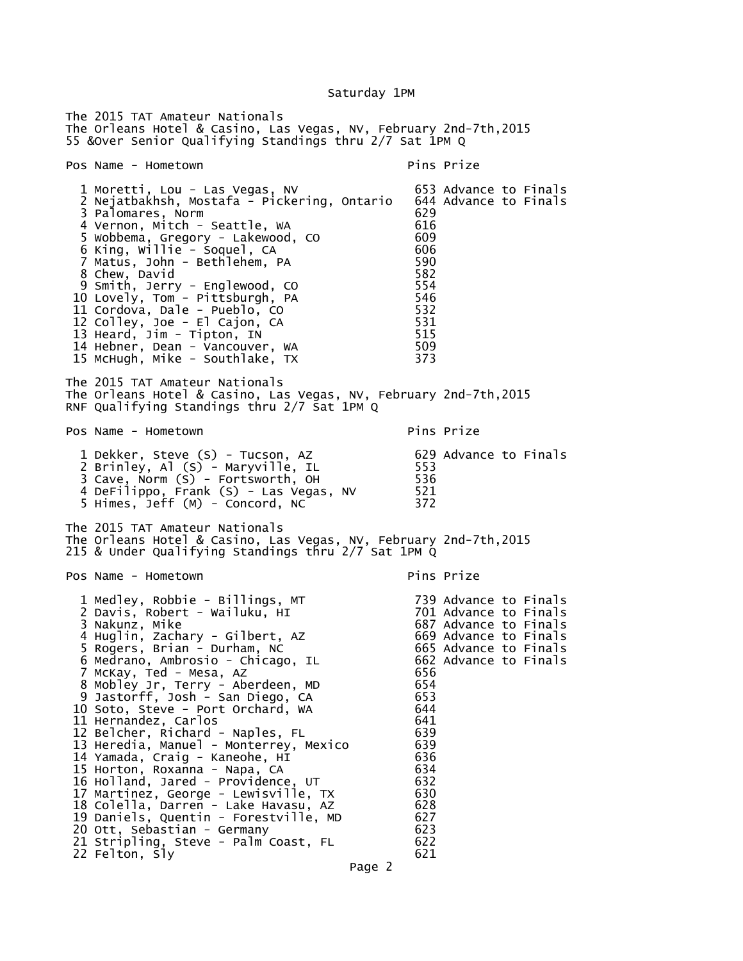Saturday 1PM

The 2015 TAT Amateur Nationals The Orleans Hotel & Casino, Las Vegas, NV, February 2nd-7th,2015 55 &Over Senior Qualifying Standings thru 2/7 Sat 1PM Q Pos Name - Hometown Pins Prize 1 Moretti, Lou - Las Vegas, NV 653 Advance to Finals 2 Nejatbakhsh, Mostafa - Pickering, Ontario 644<br>3 Palomares, Norm 3 Palomares, Norm 629 4 Vernon, Mitch - Seattle, WA 616 5 Wobbema, Gregory - Lakewood, CO 609 6 King, Willie - Soquel, CA 606 7 Matus, John - Bethlehem, PA 590 8 Chew, David 582 9 Smith, Jerry - Englewood, CO 554 10 Lovely, Tom - Pittsburgh, PA 11 Cordova, Dale - Pueblo, CO 532 12 Colley, Joe - El Cajon, CA 531 13 Heard, Jim - Tipton, IN 515 14 Hebner, Dean - Vancouver, WA 509 15 McHugh, Mike - Southlake, TX The 2015 TAT Amateur Nationals The Orleans Hotel & Casino, Las Vegas, NV, February 2nd-7th,2015 RNF Qualifying Standings thru 2/7 Sat 1PM Q Pos Name - Hometown entry the pins Prize pins Prize 1 Dekker, Steve (S) - Tucson, AZ 629 Advance to Finals 2 Brinley, Al (S) - Maryville, IL 553 3 Cave, Norm (S) - Fortsworth, OH 536 4 DeFilippo, Frank (S) - Las Vegas, NV 521 5 Himes, Jeff (M) - Concord, NC 372 The 2015 TAT Amateur Nationals The Orleans Hotel & Casino, Las Vegas, NV, February 2nd-7th,2015 215 & Under Qualifying Standings thru 2/7 Sat 1PM Q Pos Name - Hometown entry the primary pins Prize 1 Medley, Robbie - Billings, MT 739 Advance to Finals 2 Davis, Robert - Wailuku, HI<br>3 Nakunz, Mike 687 Advance to Finals 4 Huglin, Zachary - Gilbert, AZ 669 Advance to Finals 5 Rogers, Brian - Durham, NC 665 Advance to Finals 6 Medrano, Ambrosio - Chicago, IL 662 Advance to Finals 7 McKay, Ted - Mesa, AZ 656 8 Mobley Jr, Terry - Aberdeen, MD 654 9 Jastorff, Josh - San Diego, CA 653 10 Soto, Steve - Port Orchard, WA 644 11 Hernandez, Carlos 641 12 Belcher, Richard - Naples, FL 13 Heredia, Manuel - Monterrey, Mexico 639 14 Yamada, Craig - Kaneohe, HI 636 15 Horton, Roxanna - Napa, CA 634 16 Holland, Jared - Providence, UT 632 17 Martinez, George - Lewisville, TX 630 18 Colella, Darren - Lake Havasu, AZ 628 19 Daniels, Quentin - Forestville, MD 627 20 Ott, Sebastian - Germany<br>21 Stripling, Steve - Palm Coast, FL 622 21 Stripling, Steve - Palm Coast, FL 22 Felton, Sly 621